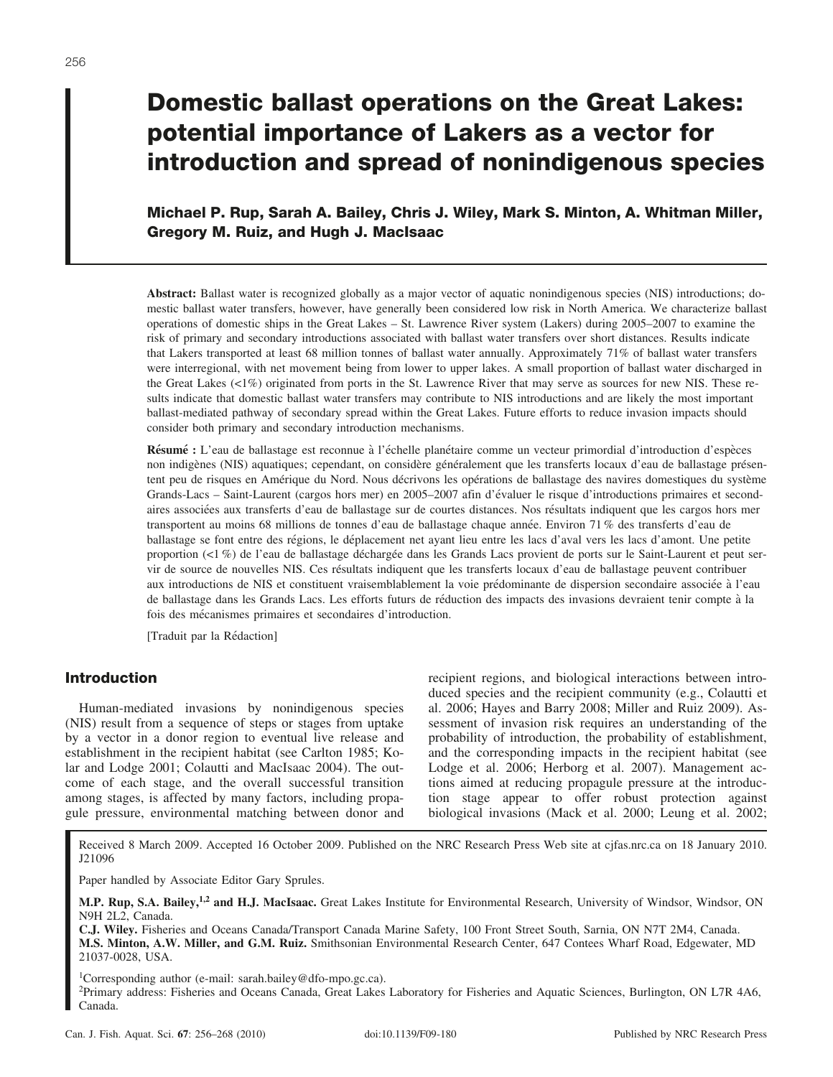# **Domestic ballast operations on the Great Lakes: potential importance of Lakers as a vector for introduction and spread of nonindigenous species**

# **Michael P. Rup, Sarah A. Bailey, Chris J. Wiley, Mark S. Minton, A. Whitman Miller, Gregory M. Ruiz, and Hugh J. MacIsaac**

**Abstract:** Ballast water is recognized globally as a major vector of aquatic nonindigenous species (NIS) introductions; domestic ballast water transfers, however, have generally been considered low risk in North America. We characterize ballast operations of domestic ships in the Great Lakes – St. Lawrence River system (Lakers) during 2005–2007 to examine the risk of primary and secondary introductions associated with ballast water transfers over short distances. Results indicate that Lakers transported at least 68 million tonnes of ballast water annually. Approximately 71% of ballast water transfers were interregional, with net movement being from lower to upper lakes. A small proportion of ballast water discharged in the Great Lakes (<1%) originated from ports in the St. Lawrence River that may serve as sources for new NIS. These results indicate that domestic ballast water transfers may contribute to NIS introductions and are likely the most important ballast-mediated pathway of secondary spread within the Great Lakes. Future efforts to reduce invasion impacts should consider both primary and secondary introduction mechanisms.

Résumé : L'eau de ballastage est reconnue à l'échelle planétaire comme un vecteur primordial d'introduction d'espèces non indigènes (NIS) aquatiques; cependant, on considère généralement que les transferts locaux d'eau de ballastage présentent peu de risques en Amérique du Nord. Nous décrivons les opérations de ballastage des navires domestiques du système Grands-Lacs – Saint-Laurent (cargos hors mer) en 2005–2007 afin d'évaluer le risque d'introductions primaires et secondaires associées aux transferts d'eau de ballastage sur de courtes distances. Nos résultats indiquent que les cargos hors mer transportent au moins 68 millions de tonnes d'eau de ballastage chaque année. Environ 71 % des transferts d'eau de ballastage se font entre des régions, le déplacement net ayant lieu entre les lacs d'aval vers les lacs d'amont. Une petite proportion (<1 %) de l'eau de ballastage déchargée dans les Grands Lacs provient de ports sur le Saint-Laurent et peut servir de source de nouvelles NIS. Ces résultats indiquent que les transferts locaux d'eau de ballastage peuvent contribuer aux introductions de NIS et constituent vraisemblablement la voie prédominante de dispersion secondaire associée à l'eau de ballastage dans les Grands Lacs. Les efforts futurs de réduction des impacts des invasions devraient tenir compte à la fois des mécanismes primaires et secondaires d'introduction.

[Traduit par la Rédaction]

# **Introduction**

Human-mediated invasions by nonindigenous species (NIS) result from a sequence of steps or stages from uptake by a vector in a donor region to eventual live release and establishment in the recipient habitat (see Carlton 1985; Kolar and Lodge 2001; Colautti and MacIsaac 2004). The outcome of each stage, and the overall successful transition among stages, is affected by many factors, including propagule pressure, environmental matching between donor and recipient regions, and biological interactions between introduced species and the recipient community (e.g., Colautti et al. 2006; Hayes and Barry 2008; Miller and Ruiz 2009). Assessment of invasion risk requires an understanding of the probability of introduction, the probability of establishment, and the corresponding impacts in the recipient habitat (see Lodge et al. 2006; Herborg et al. 2007). Management actions aimed at reducing propagule pressure at the introduction stage appear to offer robust protection against biological invasions (Mack et al. 2000; Leung et al. 2002;

Received 8 March 2009. Accepted 16 October 2009. Published on the NRC Research Press Web site at cjfas.nrc.ca on 18 January 2010. J21096

Paper handled by Associate Editor Gary Sprules.

**M.P. Rup, S.A. Bailey,1,2 and H.J. MacIsaac.** Great Lakes Institute for Environmental Research, University of Windsor, Windsor, ON N9H 2L2, Canada.

**C.J. Wiley.** Fisheries and Oceans Canada/Transport Canada Marine Safety, 100 Front Street South, Sarnia, ON N7T 2M4, Canada. **M.S. Minton, A.W. Miller, and G.M. Ruiz.** Smithsonian Environmental Research Center, 647 Contees Wharf Road, Edgewater, MD 21037-0028, USA.

1Corresponding author (e-mail: sarah.bailey@dfo-mpo.gc.ca).

2Primary address: Fisheries and Oceans Canada, Great Lakes Laboratory for Fisheries and Aquatic Sciences, Burlington, ON L7R 4A6, Canada.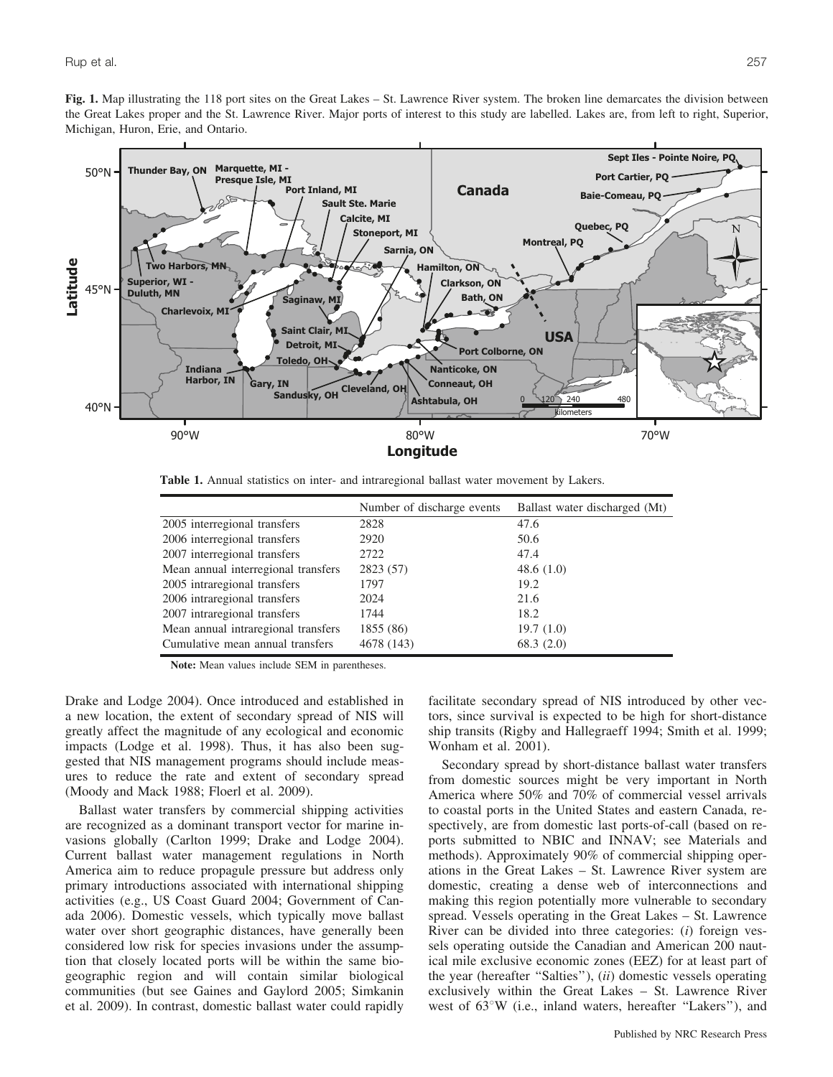

**Table 1.** Annual statistics on inter- and intraregional ballast water movement by Lakers.

|                                     | Number of discharge events | Ballast water discharged (Mt) |
|-------------------------------------|----------------------------|-------------------------------|
| 2005 interregional transfers        | 2828                       | 47.6                          |
| 2006 interregional transfers        | 2920                       | 50.6                          |
| 2007 interregional transfers        | 2722                       | 47.4                          |
| Mean annual interregional transfers | 2823 (57)                  | 48.6 $(1.0)$                  |
| 2005 intraregional transfers        | 1797                       | 19.2                          |
| 2006 intraregional transfers        | 2024                       | 21.6                          |
| 2007 intraregional transfers        | 1744                       | 18.2                          |
| Mean annual intraregional transfers | 1855 (86)                  | 19.7(1.0)                     |
| Cumulative mean annual transfers    | 4678 (143)                 | 68.3(2.0)                     |

**Note:** Mean values include SEM in parentheses.

Drake and Lodge 2004). Once introduced and established in a new location, the extent of secondary spread of NIS will greatly affect the magnitude of any ecological and economic impacts (Lodge et al. 1998). Thus, it has also been suggested that NIS management programs should include measures to reduce the rate and extent of secondary spread (Moody and Mack 1988; Floerl et al. 2009).

Ballast water transfers by commercial shipping activities are recognized as a dominant transport vector for marine invasions globally (Carlton 1999; Drake and Lodge 2004). Current ballast water management regulations in North America aim to reduce propagule pressure but address only primary introductions associated with international shipping activities (e.g., US Coast Guard 2004; Government of Canada 2006). Domestic vessels, which typically move ballast water over short geographic distances, have generally been considered low risk for species invasions under the assumption that closely located ports will be within the same biogeographic region and will contain similar biological communities (but see Gaines and Gaylord 2005; Simkanin et al. 2009). In contrast, domestic ballast water could rapidly facilitate secondary spread of NIS introduced by other vectors, since survival is expected to be high for short-distance ship transits (Rigby and Hallegraeff 1994; Smith et al. 1999; Wonham et al. 2001).

Secondary spread by short-distance ballast water transfers from domestic sources might be very important in North America where 50% and 70% of commercial vessel arrivals to coastal ports in the United States and eastern Canada, respectively, are from domestic last ports-of-call (based on reports submitted to NBIC and INNAV; see Materials and methods). Approximately 90% of commercial shipping operations in the Great Lakes – St. Lawrence River system are domestic, creating a dense web of interconnections and making this region potentially more vulnerable to secondary spread. Vessels operating in the Great Lakes – St. Lawrence River can be divided into three categories: (*i*) foreign vessels operating outside the Canadian and American 200 nautical mile exclusive economic zones (EEZ) for at least part of the year (hereafter ''Salties''), (*ii*) domestic vessels operating exclusively within the Great Lakes – St. Lawrence River west of  $63^{\circ}W$  (i.e., inland waters, hereafter "Lakers"), and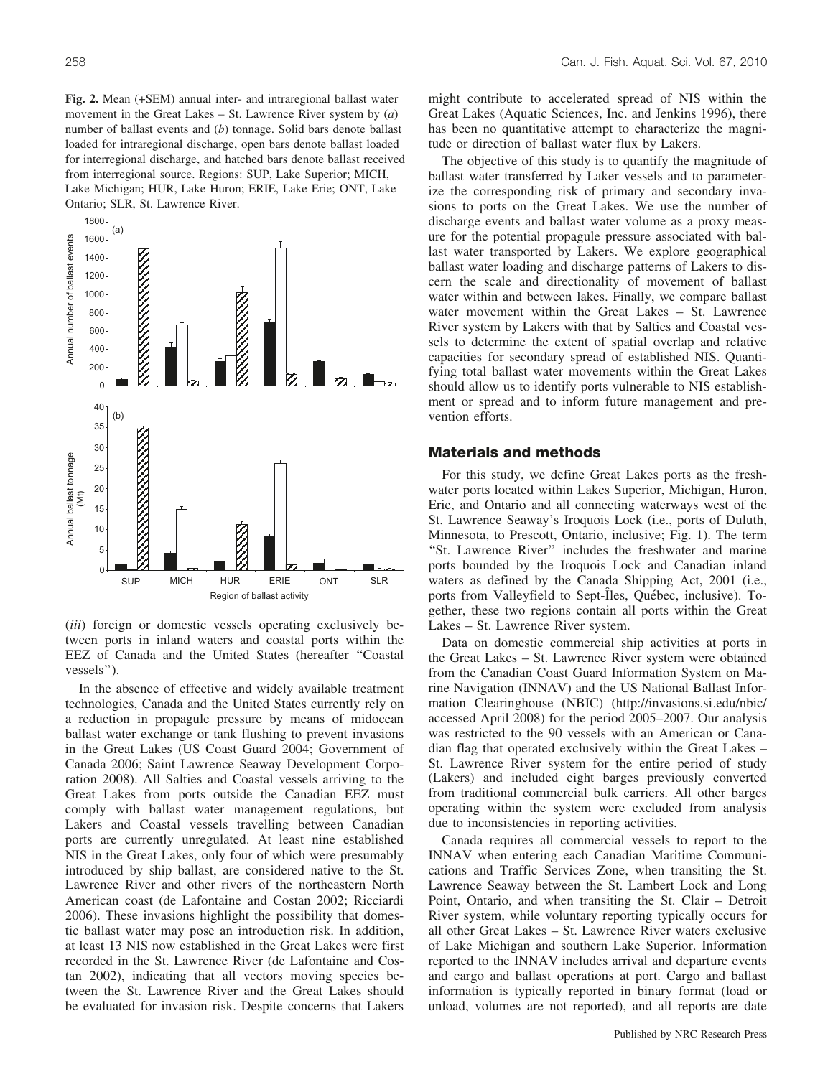**Fig. 2.** Mean (+SEM) annual inter- and intraregional ballast water movement in the Great Lakes – St. Lawrence River system by (*a*) number of ballast events and (*b*) tonnage. Solid bars denote ballast loaded for intraregional discharge, open bars denote ballast loaded for interregional discharge, and hatched bars denote ballast received from interregional source. Regions: SUP, Lake Superior; MICH, Lake Michigan; HUR, Lake Huron; ERIE, Lake Erie; ONT, Lake Ontario; SLR, St. Lawrence River.



(*iii*) foreign or domestic vessels operating exclusively between ports in inland waters and coastal ports within the EEZ of Canada and the United States (hereafter ''Coastal vessels'').

In the absence of effective and widely available treatment technologies, Canada and the United States currently rely on a reduction in propagule pressure by means of midocean ballast water exchange or tank flushing to prevent invasions in the Great Lakes (US Coast Guard 2004; Government of Canada 2006; Saint Lawrence Seaway Development Corporation 2008). All Salties and Coastal vessels arriving to the Great Lakes from ports outside the Canadian EEZ must comply with ballast water management regulations, but Lakers and Coastal vessels travelling between Canadian ports are currently unregulated. At least nine established NIS in the Great Lakes, only four of which were presumably introduced by ship ballast, are considered native to the St. Lawrence River and other rivers of the northeastern North American coast (de Lafontaine and Costan 2002; Ricciardi 2006). These invasions highlight the possibility that domestic ballast water may pose an introduction risk. In addition, at least 13 NIS now established in the Great Lakes were first recorded in the St. Lawrence River (de Lafontaine and Costan 2002), indicating that all vectors moving species between the St. Lawrence River and the Great Lakes should be evaluated for invasion risk. Despite concerns that Lakers might contribute to accelerated spread of NIS within the Great Lakes (Aquatic Sciences, Inc. and Jenkins 1996), there has been no quantitative attempt to characterize the magnitude or direction of ballast water flux by Lakers.

The objective of this study is to quantify the magnitude of ballast water transferred by Laker vessels and to parameterize the corresponding risk of primary and secondary invasions to ports on the Great Lakes. We use the number of discharge events and ballast water volume as a proxy measure for the potential propagule pressure associated with ballast water transported by Lakers. We explore geographical ballast water loading and discharge patterns of Lakers to discern the scale and directionality of movement of ballast water within and between lakes. Finally, we compare ballast water movement within the Great Lakes – St. Lawrence River system by Lakers with that by Salties and Coastal vessels to determine the extent of spatial overlap and relative capacities for secondary spread of established NIS. Quantifying total ballast water movements within the Great Lakes should allow us to identify ports vulnerable to NIS establishment or spread and to inform future management and prevention efforts.

#### **Materials and methods**

For this study, we define Great Lakes ports as the freshwater ports located within Lakes Superior, Michigan, Huron, Erie, and Ontario and all connecting waterways west of the St. Lawrence Seaway's Iroquois Lock (i.e., ports of Duluth, Minnesota, to Prescott, Ontario, inclusive; Fig. 1). The term "St. Lawrence River" includes the freshwater and marine ports bounded by the Iroquois Lock and Canadian inland waters as defined by the Canada Shipping Act, 2001 (i.e., ports from Valleyfield to Sept-Iles, Québec, inclusive). Together, these two regions contain all ports within the Great Lakes – St. Lawrence River system.

Data on domestic commercial ship activities at ports in the Great Lakes – St. Lawrence River system were obtained from the Canadian Coast Guard Information System on Marine Navigation (INNAV) and the US National Ballast Information Clearinghouse (NBIC) (http://invasions.si.edu/nbic/ accessed April 2008) for the period 2005–2007. Our analysis was restricted to the 90 vessels with an American or Canadian flag that operated exclusively within the Great Lakes – St. Lawrence River system for the entire period of study (Lakers) and included eight barges previously converted from traditional commercial bulk carriers. All other barges operating within the system were excluded from analysis due to inconsistencies in reporting activities.

Canada requires all commercial vessels to report to the INNAV when entering each Canadian Maritime Communications and Traffic Services Zone, when transiting the St. Lawrence Seaway between the St. Lambert Lock and Long Point, Ontario, and when transiting the St. Clair – Detroit River system, while voluntary reporting typically occurs for all other Great Lakes – St. Lawrence River waters exclusive of Lake Michigan and southern Lake Superior. Information reported to the INNAV includes arrival and departure events and cargo and ballast operations at port. Cargo and ballast information is typically reported in binary format (load or unload, volumes are not reported), and all reports are date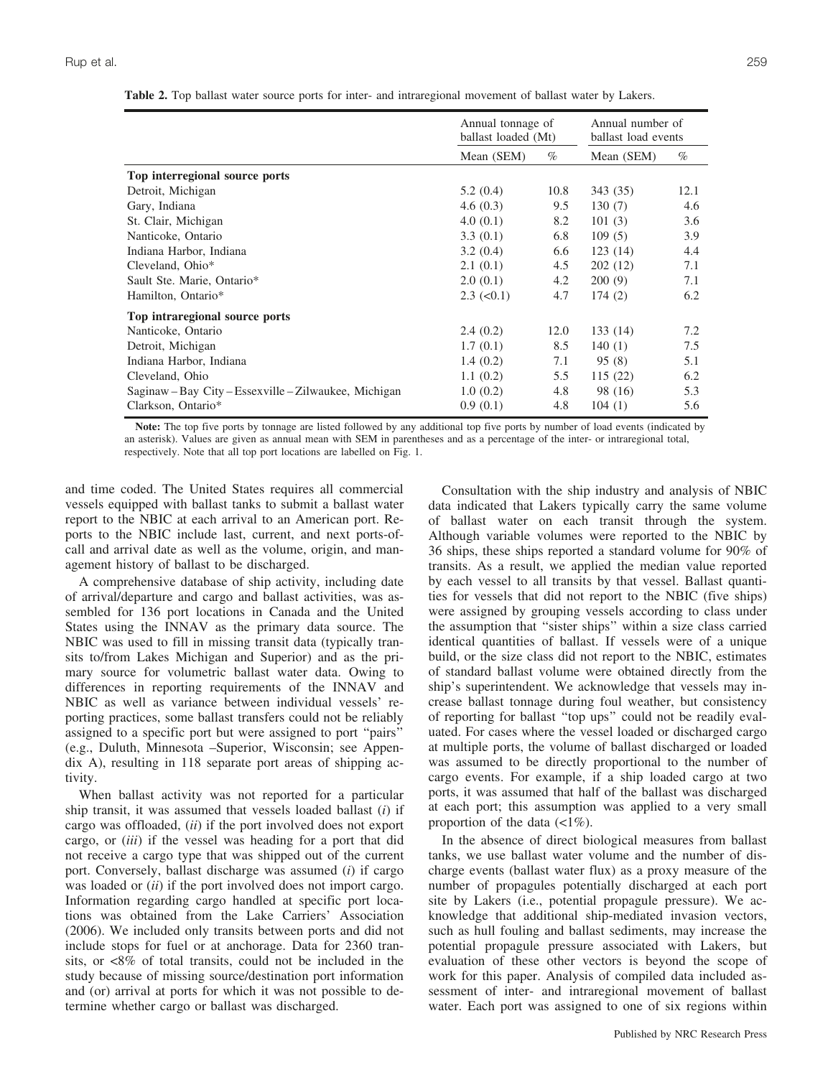|                                                       | Annual tonnage of<br>ballast loaded (Mt) |      | Annual number of<br>ballast load events |      |
|-------------------------------------------------------|------------------------------------------|------|-----------------------------------------|------|
|                                                       | Mean (SEM)                               | $\%$ | Mean (SEM)                              | $\%$ |
| Top interregional source ports                        |                                          |      |                                         |      |
| Detroit, Michigan                                     | 5.2(0.4)                                 | 10.8 | 343(35)                                 | 12.1 |
| Gary, Indiana                                         | 4.6(0.3)                                 | 9.5  | 130(7)                                  | 4.6  |
| St. Clair, Michigan                                   | 4.0(0.1)                                 | 8.2  | 101(3)                                  | 3.6  |
| Nanticoke, Ontario                                    | 3.3(0.1)                                 | 6.8  | 109(5)                                  | 3.9  |
| Indiana Harbor, Indiana                               | 3.2(0.4)                                 | 6.6  | 123(14)                                 | 4.4  |
| Cleveland, Ohio*                                      | 2.1(0.1)                                 | 4.5  | 202(12)                                 | 7.1  |
| Sault Ste. Marie, Ontario*                            | 2.0(0.1)                                 | 4.2  | 200(9)                                  | 7.1  |
| Hamilton, Ontario*                                    | $2.3 \approx (0.1)$                      | 4.7  | 174(2)                                  | 6.2  |
| Top intraregional source ports                        |                                          |      |                                         |      |
| Nanticoke, Ontario                                    | 2.4(0.2)                                 | 12.0 | 133 (14)                                | 7.2  |
| Detroit, Michigan                                     | 1.7(0.1)                                 | 8.5  | 140(1)                                  | 7.5  |
| Indiana Harbor, Indiana                               | 1.4(0.2)                                 | 7.1  | 95(8)                                   | 5.1  |
| Cleveland, Ohio                                       | 1.1(0.2)                                 | 5.5  | 115(22)                                 | 6.2  |
| Saginaw – Bay City – Essexville – Zilwaukee, Michigan | 1.0(0.2)                                 | 4.8  | 98 (16)                                 | 5.3  |
| Clarkson, Ontario*                                    | 0.9(0.1)                                 | 4.8  | 104(1)                                  | 5.6  |

**Table 2.** Top ballast water source ports for inter- and intraregional movement of ballast water by Lakers.

**Note:** The top five ports by tonnage are listed followed by any additional top five ports by number of load events (indicated by an asterisk). Values are given as annual mean with SEM in parentheses and as a percentage of the inter- or intraregional total, respectively. Note that all top port locations are labelled on Fig. 1.

and time coded. The United States requires all commercial vessels equipped with ballast tanks to submit a ballast water report to the NBIC at each arrival to an American port. Reports to the NBIC include last, current, and next ports-ofcall and arrival date as well as the volume, origin, and management history of ballast to be discharged.

A comprehensive database of ship activity, including date of arrival/departure and cargo and ballast activities, was assembled for 136 port locations in Canada and the United States using the INNAV as the primary data source. The NBIC was used to fill in missing transit data (typically transits to/from Lakes Michigan and Superior) and as the primary source for volumetric ballast water data. Owing to differences in reporting requirements of the INNAV and NBIC as well as variance between individual vessels' reporting practices, some ballast transfers could not be reliably assigned to a specific port but were assigned to port ''pairs'' (e.g., Duluth, Minnesota –Superior, Wisconsin; see Appendix A), resulting in 118 separate port areas of shipping activity.

When ballast activity was not reported for a particular ship transit, it was assumed that vessels loaded ballast (*i*) if cargo was offloaded, (*ii*) if the port involved does not export cargo, or (*iii*) if the vessel was heading for a port that did not receive a cargo type that was shipped out of the current port. Conversely, ballast discharge was assumed (*i*) if cargo was loaded or (*ii*) if the port involved does not import cargo. Information regarding cargo handled at specific port locations was obtained from the Lake Carriers' Association (2006). We included only transits between ports and did not include stops for fuel or at anchorage. Data for 2360 transits, or <8% of total transits, could not be included in the study because of missing source/destination port information and (or) arrival at ports for which it was not possible to determine whether cargo or ballast was discharged.

Consultation with the ship industry and analysis of NBIC data indicated that Lakers typically carry the same volume of ballast water on each transit through the system. Although variable volumes were reported to the NBIC by 36 ships, these ships reported a standard volume for 90% of transits. As a result, we applied the median value reported by each vessel to all transits by that vessel. Ballast quantities for vessels that did not report to the NBIC (five ships) were assigned by grouping vessels according to class under the assumption that ''sister ships'' within a size class carried identical quantities of ballast. If vessels were of a unique build, or the size class did not report to the NBIC, estimates of standard ballast volume were obtained directly from the ship's superintendent. We acknowledge that vessels may increase ballast tonnage during foul weather, but consistency of reporting for ballast ''top ups'' could not be readily evaluated. For cases where the vessel loaded or discharged cargo at multiple ports, the volume of ballast discharged or loaded was assumed to be directly proportional to the number of cargo events. For example, if a ship loaded cargo at two ports, it was assumed that half of the ballast was discharged at each port; this assumption was applied to a very small proportion of the data  $\left(\langle 1\% \right)$ .

In the absence of direct biological measures from ballast tanks, we use ballast water volume and the number of discharge events (ballast water flux) as a proxy measure of the number of propagules potentially discharged at each port site by Lakers (i.e., potential propagule pressure). We acknowledge that additional ship-mediated invasion vectors, such as hull fouling and ballast sediments, may increase the potential propagule pressure associated with Lakers, but evaluation of these other vectors is beyond the scope of work for this paper. Analysis of compiled data included assessment of inter- and intraregional movement of ballast water. Each port was assigned to one of six regions within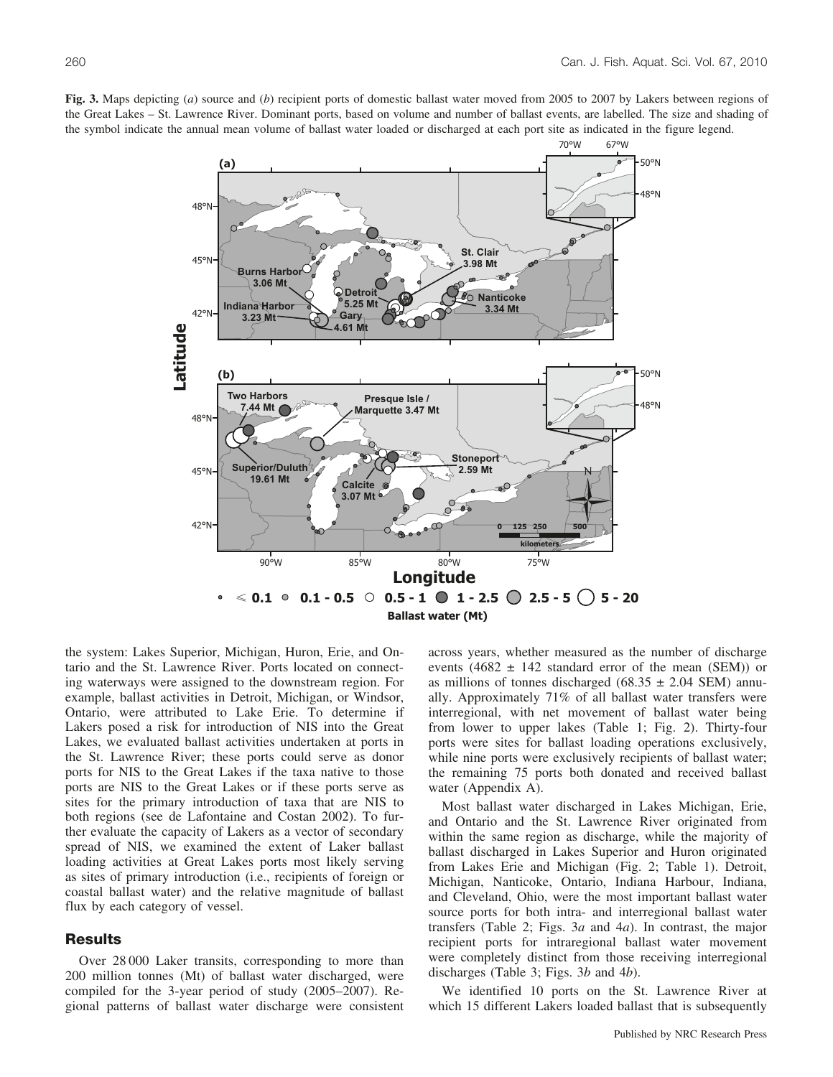**Fig. 3.** Maps depicting (*a*) source and (*b*) recipient ports of domestic ballast water moved from 2005 to 2007 by Lakers between regions of the Great Lakes – St. Lawrence River. Dominant ports, based on volume and number of ballast events, are labelled. The size and shading of the symbol indicate the annual mean volume of ballast water loaded or discharged at each port site as indicated in the figure legend.



the system: Lakes Superior, Michigan, Huron, Erie, and Ontario and the St. Lawrence River. Ports located on connecting waterways were assigned to the downstream region. For example, ballast activities in Detroit, Michigan, or Windsor, Ontario, were attributed to Lake Erie. To determine if Lakers posed a risk for introduction of NIS into the Great Lakes, we evaluated ballast activities undertaken at ports in the St. Lawrence River; these ports could serve as donor ports for NIS to the Great Lakes if the taxa native to those ports are NIS to the Great Lakes or if these ports serve as sites for the primary introduction of taxa that are NIS to both regions (see de Lafontaine and Costan 2002). To further evaluate the capacity of Lakers as a vector of secondary spread of NIS, we examined the extent of Laker ballast loading activities at Great Lakes ports most likely serving as sites of primary introduction (i.e., recipients of foreign or coastal ballast water) and the relative magnitude of ballast flux by each category of vessel.

#### **Results**

Over 28 000 Laker transits, corresponding to more than 200 million tonnes (Mt) of ballast water discharged, were compiled for the 3-year period of study (2005–2007). Regional patterns of ballast water discharge were consistent across years, whether measured as the number of discharge events (4682  $\pm$  142 standard error of the mean (SEM)) or as millions of tonnes discharged (68.35  $\pm$  2.04 SEM) annually. Approximately 71% of all ballast water transfers were interregional, with net movement of ballast water being from lower to upper lakes (Table 1; Fig. 2). Thirty-four ports were sites for ballast loading operations exclusively, while nine ports were exclusively recipients of ballast water; the remaining 75 ports both donated and received ballast water (Appendix A).

Most ballast water discharged in Lakes Michigan, Erie, and Ontario and the St. Lawrence River originated from within the same region as discharge, while the majority of ballast discharged in Lakes Superior and Huron originated from Lakes Erie and Michigan (Fig. 2; Table 1). Detroit, Michigan, Nanticoke, Ontario, Indiana Harbour, Indiana, and Cleveland, Ohio, were the most important ballast water source ports for both intra- and interregional ballast water transfers (Table 2; Figs. 3*a* and 4*a*). In contrast, the major recipient ports for intraregional ballast water movement were completely distinct from those receiving interregional discharges (Table 3; Figs. 3*b* and 4*b*).

We identified 10 ports on the St. Lawrence River at which 15 different Lakers loaded ballast that is subsequently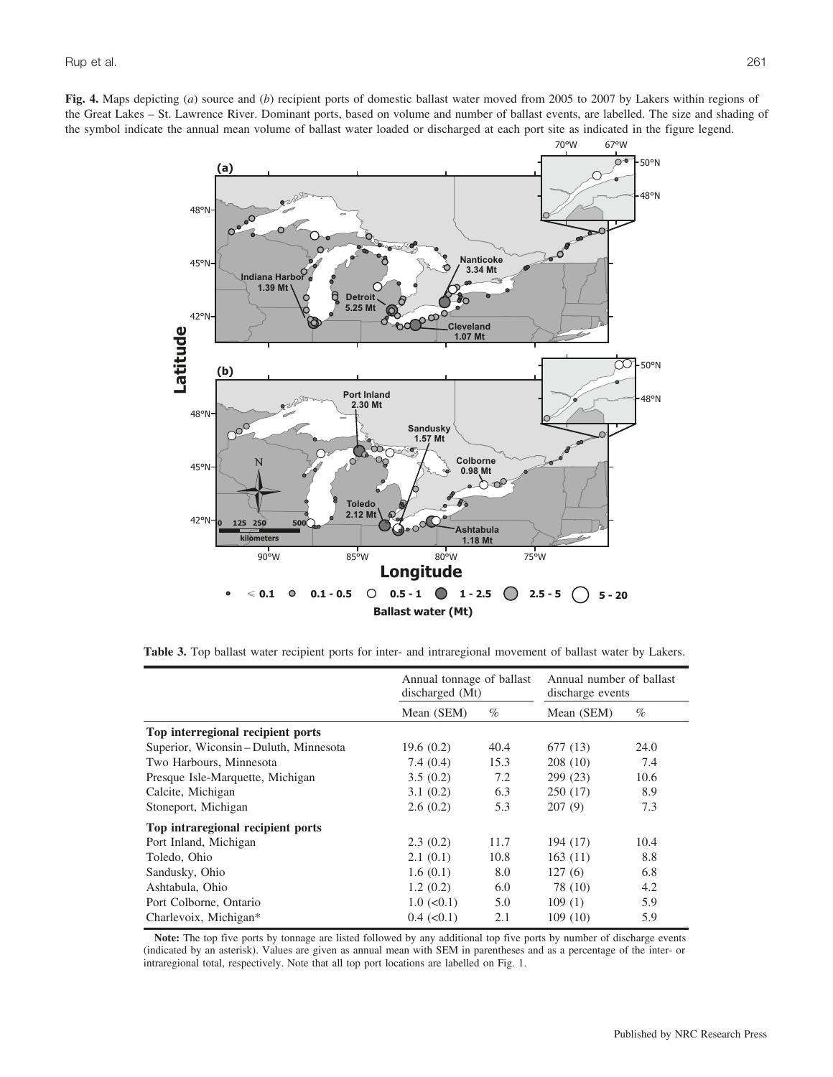**Fig. 4.** Maps depicting (*a*) source and (*b*) recipient ports of domestic ballast water moved from 2005 to 2007 by Lakers within regions of the Great Lakes – St. Lawrence River. Dominant ports, based on volume and number of ballast events, are labelled. The size and shading of the symbol indicate the annual mean volume of ballast water loaded or discharged at each port site as indicated in the figure legend.



**Table 3.** Top ballast water recipient ports for inter- and intraregional movement of ballast water by Lakers.

|                                        | Annual tonnage of ballast<br>discharged (Mt) |      | Annual number of ballast<br>discharge events |      |
|----------------------------------------|----------------------------------------------|------|----------------------------------------------|------|
|                                        | Mean (SEM)                                   | $\%$ | Mean (SEM)                                   | $\%$ |
| Top interregional recipient ports      |                                              |      |                                              |      |
| Superior, Wiconsin – Duluth, Minnesota | 19.6(0.2)                                    | 40.4 | 677 (13)                                     | 24.0 |
| Two Harbours, Minnesota                | 7.4(0.4)                                     | 15.3 | 208(10)                                      | 7.4  |
| Presque Isle-Marquette, Michigan       | 3.5(0.2)                                     | 7.2  | 299(23)                                      | 10.6 |
| Calcite, Michigan                      | 3.1(0.2)                                     | 6.3  | 250(17)                                      | 8.9  |
| Stoneport, Michigan                    | 2.6(0.2)                                     | 5.3  | 207(9)                                       | 7.3  |
| Top intraregional recipient ports      |                                              |      |                                              |      |
| Port Inland, Michigan                  | 2.3(0.2)                                     | 11.7 | 194 (17)                                     | 10.4 |
| Toledo, Ohio                           | 2.1(0.1)                                     | 10.8 | 163(11)                                      | 8.8  |
| Sandusky, Ohio                         | 1.6(0.1)                                     | 8.0  | 127(6)                                       | 6.8  |
| Ashtabula, Ohio                        | 1.2(0.2)                                     | 6.0  | 78 (10)                                      | 4.2  |
| Port Colborne, Ontario                 | $1.0 \le 0.1$                                | 5.0  | 109(1)                                       | 5.9  |
| Charlevoix, Michigan*                  | $0.4 \approx 0.1$                            | 2.1  | 109(10)                                      | 5.9  |

**Note:** The top five ports by tonnage are listed followed by any additional top five ports by number of discharge events (indicated by an asterisk). Values are given as annual mean with SEM in parentheses and as a percentage of the inter- or intraregional total, respectively. Note that all top port locations are labelled on Fig. 1.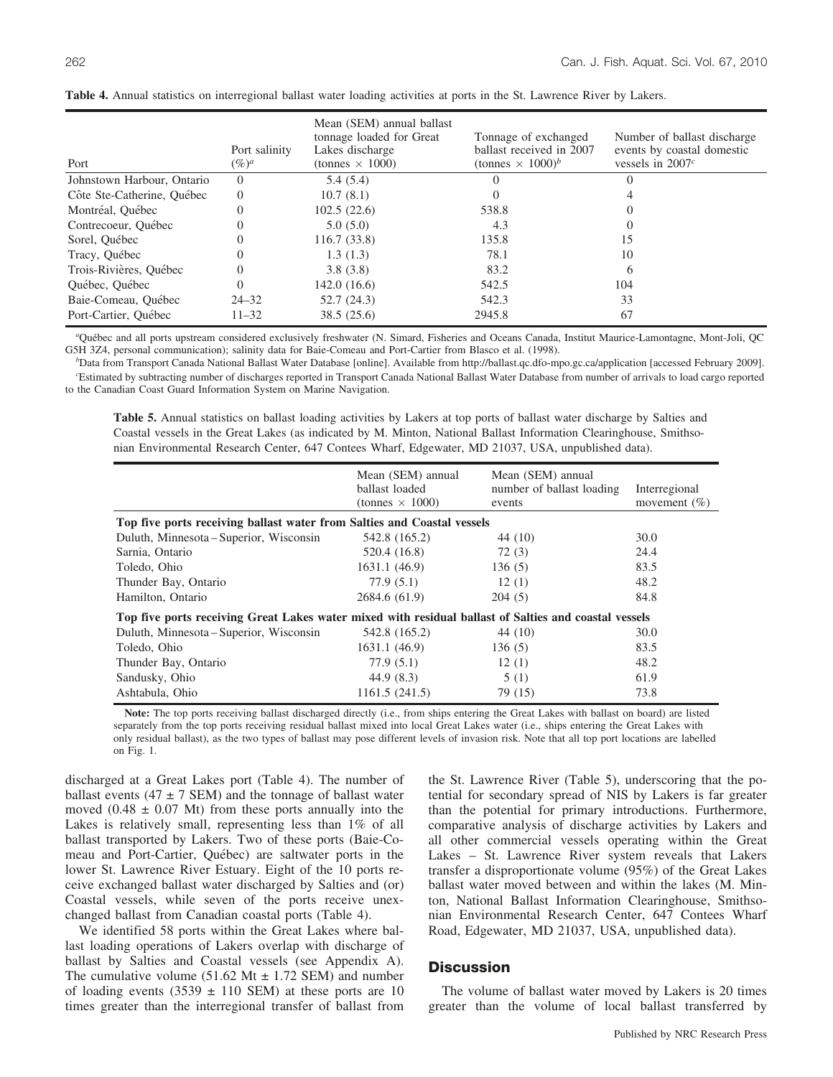|                            | Port salinity | Mean (SEM) annual ballast<br>tonnage loaded for Great<br>Lakes discharge | Tonnage of exchanged<br>ballast received in 2007 | Number of ballast discharge<br>events by coastal domestic |
|----------------------------|---------------|--------------------------------------------------------------------------|--------------------------------------------------|-----------------------------------------------------------|
| Port                       | $(\%)^a$      | $ \times 1000$                                                           | (tonnes $\times$ 1000) <sup>b</sup>              | vessels in $2007c$                                        |
| Johnstown Harbour, Ontario | $\Omega$      | 5.4(5.4)                                                                 |                                                  |                                                           |
| Côte Ste-Catherine, Québec | $\theta$      | 10.7(8.1)                                                                | $\theta$                                         |                                                           |
| Montréal, Québec           | $\Omega$      | 102.5(22.6)                                                              | 538.8                                            |                                                           |
| Contrecoeur, Québec        | 0             | 5.0(5.0)                                                                 | 4.3                                              |                                                           |
| Sorel, Québec              |               | 116.7(33.8)                                                              | 135.8                                            | 15                                                        |
| Tracy, Québec              | 0             | 1.3(1.3)                                                                 | 78.1                                             | 10                                                        |
| Trois-Rivières, Québec     |               | 3.8(3.8)                                                                 | 83.2                                             | 6                                                         |
| Québec, Québec             | $\Omega$      | 142.0(16.6)                                                              | 542.5                                            | 104                                                       |
| Baie-Comeau, Québec        | $24 - 32$     | 52.7(24.3)                                                               | 542.3                                            | 33                                                        |
| Port-Cartier, Québec       | $11 - 32$     | 38.5(25.6)                                                               | 2945.8                                           | 67                                                        |

|  | <b>Table 4.</b> Annual statistics on interregional ballast water loading activities at ports in the St. Lawrence River by Lakers. |  |  |  |  |  |  |
|--|-----------------------------------------------------------------------------------------------------------------------------------|--|--|--|--|--|--|
|  |                                                                                                                                   |  |  |  |  |  |  |

*a* Que´bec and all ports upstream considered exclusively freshwater (N. Simard, Fisheries and Oceans Canada, Institut Maurice-Lamontagne, Mont-Joli, QC G5H 3Z4, personal communication); salinity data for Baie-Comeau and Port-Cartier from Blasco et al. (1998).

*b* Data from Transport Canada National Ballast Water Database [online]. Available from http://ballast.qc.dfo-mpo.gc.ca/application [accessed February 2009]. *c* Estimated by subtracting number of discharges reported in Transport Canada National Ballast Water Database from number of arrivals to load cargo reported to the Canadian Coast Guard Information System on Marine Navigation.

**Table 5.** Annual statistics on ballast loading activities by Lakers at top ports of ballast water discharge by Salties and Coastal vessels in the Great Lakes (as indicated by M. Minton, National Ballast Information Clearinghouse, Smithsonian Environmental Research Center, 647 Contees Wharf, Edgewater, MD 21037, USA, unpublished data).

| Mean (SEM) annual<br>ballast loaded<br>$ \times 1000$ | Mean (SEM) annual<br>number of ballast loading<br>events | Interregional<br>movement $(\% )$                                                                                                                                                |
|-------------------------------------------------------|----------------------------------------------------------|----------------------------------------------------------------------------------------------------------------------------------------------------------------------------------|
|                                                       |                                                          |                                                                                                                                                                                  |
| 542.8 (165.2)                                         | 44 (10)                                                  | 30.0                                                                                                                                                                             |
| 520.4 (16.8)                                          | 72(3)                                                    | 24.4                                                                                                                                                                             |
| 1631.1 (46.9)                                         | 136(5)                                                   | 83.5                                                                                                                                                                             |
| 77.9(5.1)                                             | 12(1)                                                    | 48.2                                                                                                                                                                             |
| 2684.6 (61.9)                                         | 204(5)                                                   | 84.8                                                                                                                                                                             |
|                                                       |                                                          |                                                                                                                                                                                  |
| 542.8 (165.2)                                         | 44 (10)                                                  | 30.0                                                                                                                                                                             |
| 1631.1 (46.9)                                         | 136(5)                                                   | 83.5                                                                                                                                                                             |
| 77.9(5.1)                                             | 12(1)                                                    | 48.2                                                                                                                                                                             |
| 44.9(8.3)                                             | 5(1)                                                     | 61.9                                                                                                                                                                             |
| 1161.5(241.5)                                         | 79 (15)                                                  | 73.8                                                                                                                                                                             |
|                                                       |                                                          | Top five ports receiving ballast water from Salties and Coastal vessels<br>Top five ports receiving Great Lakes water mixed with residual ballast of Salties and coastal vessels |

**Note:** The top ports receiving ballast discharged directly (i.e., from ships entering the Great Lakes with ballast on board) are listed separately from the top ports receiving residual ballast mixed into local Great Lakes water (i.e., ships entering the Great Lakes with only residual ballast), as the two types of ballast may pose different levels of invasion risk. Note that all top port locations are labelled on Fig. 1.

discharged at a Great Lakes port (Table 4). The number of ballast events (47  $\pm$  7 SEM) and the tonnage of ballast water moved  $(0.48 \pm 0.07 \text{ Mt})$  from these ports annually into the Lakes is relatively small, representing less than 1% of all ballast transported by Lakers. Two of these ports (Baie-Comeau and Port-Cartier, Québec) are saltwater ports in the lower St. Lawrence River Estuary. Eight of the 10 ports receive exchanged ballast water discharged by Salties and (or) Coastal vessels, while seven of the ports receive unexchanged ballast from Canadian coastal ports (Table 4).

We identified 58 ports within the Great Lakes where ballast loading operations of Lakers overlap with discharge of ballast by Salties and Coastal vessels (see Appendix A). The cumulative volume  $(51.62 \text{ Mt} \pm 1.72 \text{ SEM})$  and number of loading events  $(3539 \pm 110 \text{ SEM})$  at these ports are 10 times greater than the interregional transfer of ballast from the St. Lawrence River (Table 5), underscoring that the potential for secondary spread of NIS by Lakers is far greater than the potential for primary introductions. Furthermore, comparative analysis of discharge activities by Lakers and all other commercial vessels operating within the Great Lakes – St. Lawrence River system reveals that Lakers transfer a disproportionate volume (95%) of the Great Lakes ballast water moved between and within the lakes (M. Minton, National Ballast Information Clearinghouse, Smithsonian Environmental Research Center, 647 Contees Wharf Road, Edgewater, MD 21037, USA, unpublished data).

### **Discussion**

The volume of ballast water moved by Lakers is 20 times greater than the volume of local ballast transferred by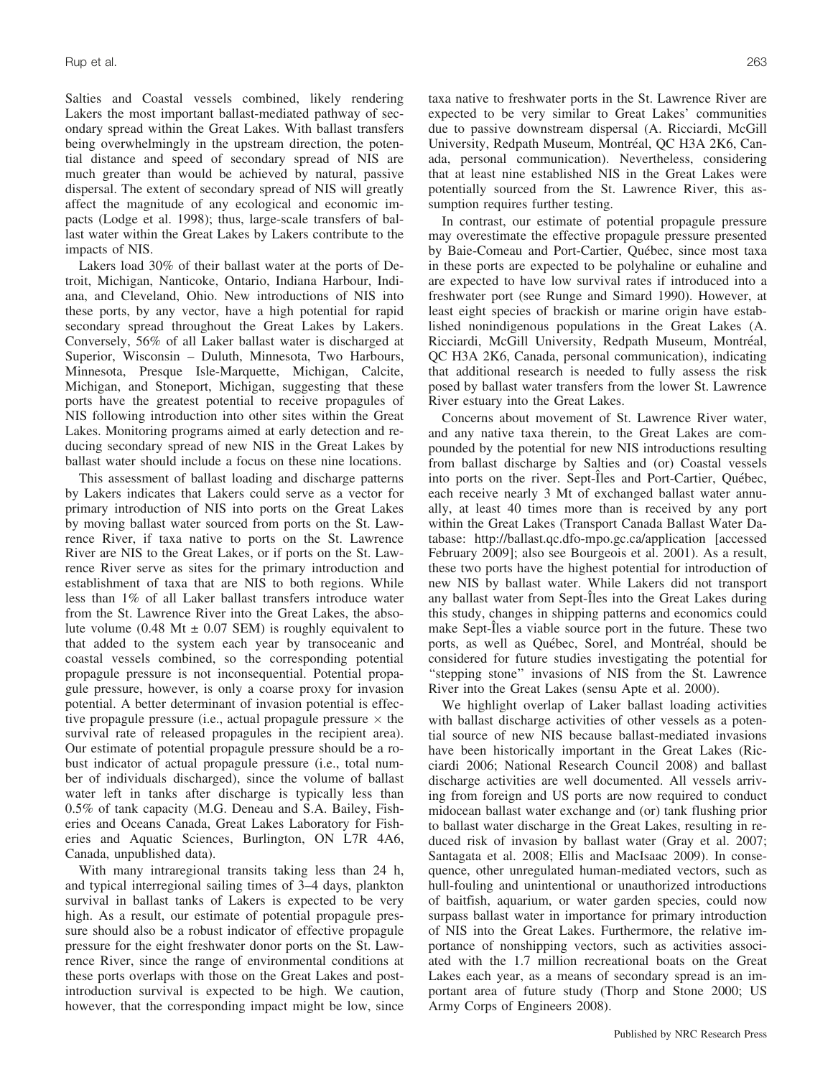Salties and Coastal vessels combined, likely rendering Lakers the most important ballast-mediated pathway of secondary spread within the Great Lakes. With ballast transfers being overwhelmingly in the upstream direction, the potential distance and speed of secondary spread of NIS are much greater than would be achieved by natural, passive dispersal. The extent of secondary spread of NIS will greatly affect the magnitude of any ecological and economic impacts (Lodge et al. 1998); thus, large-scale transfers of ballast water within the Great Lakes by Lakers contribute to the impacts of NIS.

Lakers load 30% of their ballast water at the ports of Detroit, Michigan, Nanticoke, Ontario, Indiana Harbour, Indiana, and Cleveland, Ohio. New introductions of NIS into these ports, by any vector, have a high potential for rapid secondary spread throughout the Great Lakes by Lakers. Conversely, 56% of all Laker ballast water is discharged at Superior, Wisconsin – Duluth, Minnesota, Two Harbours, Minnesota, Presque Isle-Marquette, Michigan, Calcite, Michigan, and Stoneport, Michigan, suggesting that these ports have the greatest potential to receive propagules of NIS following introduction into other sites within the Great Lakes. Monitoring programs aimed at early detection and reducing secondary spread of new NIS in the Great Lakes by ballast water should include a focus on these nine locations.

This assessment of ballast loading and discharge patterns by Lakers indicates that Lakers could serve as a vector for primary introduction of NIS into ports on the Great Lakes by moving ballast water sourced from ports on the St. Lawrence River, if taxa native to ports on the St. Lawrence River are NIS to the Great Lakes, or if ports on the St. Lawrence River serve as sites for the primary introduction and establishment of taxa that are NIS to both regions. While less than 1% of all Laker ballast transfers introduce water from the St. Lawrence River into the Great Lakes, the absolute volume (0.48 Mt  $\pm$  0.07 SEM) is roughly equivalent to that added to the system each year by transoceanic and coastal vessels combined, so the corresponding potential propagule pressure is not inconsequential. Potential propagule pressure, however, is only a coarse proxy for invasion potential. A better determinant of invasion potential is effective propagule pressure (i.e., actual propagule pressure  $\times$  the survival rate of released propagules in the recipient area). Our estimate of potential propagule pressure should be a robust indicator of actual propagule pressure (i.e., total number of individuals discharged), since the volume of ballast water left in tanks after discharge is typically less than 0.5% of tank capacity (M.G. Deneau and S.A. Bailey, Fisheries and Oceans Canada, Great Lakes Laboratory for Fisheries and Aquatic Sciences, Burlington, ON L7R 4A6, Canada, unpublished data).

With many intraregional transits taking less than 24 h, and typical interregional sailing times of 3–4 days, plankton survival in ballast tanks of Lakers is expected to be very high. As a result, our estimate of potential propagule pressure should also be a robust indicator of effective propagule pressure for the eight freshwater donor ports on the St. Lawrence River, since the range of environmental conditions at these ports overlaps with those on the Great Lakes and postintroduction survival is expected to be high. We caution, however, that the corresponding impact might be low, since taxa native to freshwater ports in the St. Lawrence River are expected to be very similar to Great Lakes' communities due to passive downstream dispersal (A. Ricciardi, McGill University, Redpath Museum, Montréal, QC H3A 2K6, Canada, personal communication). Nevertheless, considering that at least nine established NIS in the Great Lakes were potentially sourced from the St. Lawrence River, this assumption requires further testing.

In contrast, our estimate of potential propagule pressure may overestimate the effective propagule pressure presented by Baie-Comeau and Port-Cartier, Québec, since most taxa in these ports are expected to be polyhaline or euhaline and are expected to have low survival rates if introduced into a freshwater port (see Runge and Simard 1990). However, at least eight species of brackish or marine origin have established nonindigenous populations in the Great Lakes (A. Ricciardi, McGill University, Redpath Museum, Montréal, QC H3A 2K6, Canada, personal communication), indicating that additional research is needed to fully assess the risk posed by ballast water transfers from the lower St. Lawrence River estuary into the Great Lakes.

Concerns about movement of St. Lawrence River water, and any native taxa therein, to the Great Lakes are compounded by the potential for new NIS introductions resulting from ballast discharge by Salties and (or) Coastal vessels into ports on the river. Sept-Iles and Port-Cartier, Québec, each receive nearly 3 Mt of exchanged ballast water annually, at least 40 times more than is received by any port within the Great Lakes (Transport Canada Ballast Water Database: http://ballast.qc.dfo-mpo.gc.ca/application [accessed February 2009]; also see Bourgeois et al. 2001). As a result, these two ports have the highest potential for introduction of new NIS by ballast water. While Lakers did not transport any ballast water from Sept-Iles into the Great Lakes during this study, changes in shipping patterns and economics could make Sept-Iles a viable source port in the future. These two ports, as well as Québec, Sorel, and Montréal, should be considered for future studies investigating the potential for ''stepping stone'' invasions of NIS from the St. Lawrence River into the Great Lakes (sensu Apte et al. 2000).

We highlight overlap of Laker ballast loading activities with ballast discharge activities of other vessels as a potential source of new NIS because ballast-mediated invasions have been historically important in the Great Lakes (Ricciardi 2006; National Research Council 2008) and ballast discharge activities are well documented. All vessels arriving from foreign and US ports are now required to conduct midocean ballast water exchange and (or) tank flushing prior to ballast water discharge in the Great Lakes, resulting in reduced risk of invasion by ballast water (Gray et al. 2007; Santagata et al. 2008; Ellis and MacIsaac 2009). In consequence, other unregulated human-mediated vectors, such as hull-fouling and unintentional or unauthorized introductions of baitfish, aquarium, or water garden species, could now surpass ballast water in importance for primary introduction of NIS into the Great Lakes. Furthermore, the relative importance of nonshipping vectors, such as activities associated with the 1.7 million recreational boats on the Great Lakes each year, as a means of secondary spread is an important area of future study (Thorp and Stone 2000; US Army Corps of Engineers 2008).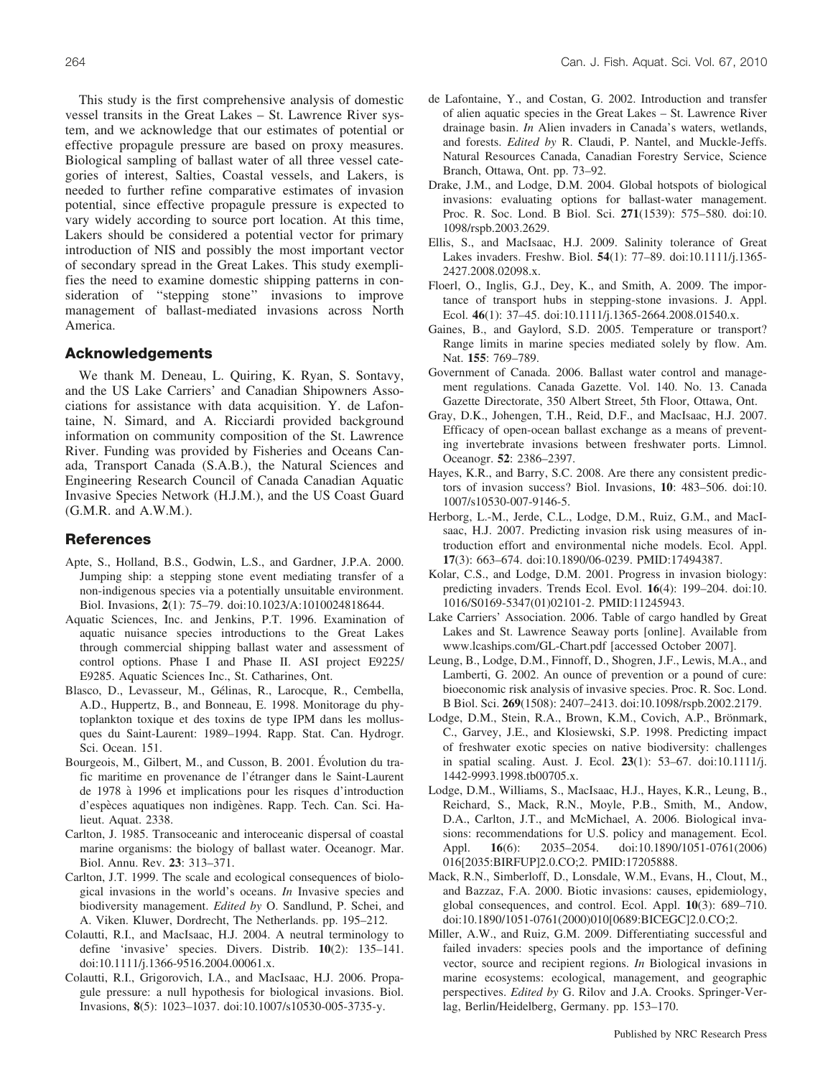This study is the first comprehensive analysis of domestic vessel transits in the Great Lakes – St. Lawrence River system, and we acknowledge that our estimates of potential or effective propagule pressure are based on proxy measures. Biological sampling of ballast water of all three vessel categories of interest, Salties, Coastal vessels, and Lakers, is needed to further refine comparative estimates of invasion potential, since effective propagule pressure is expected to vary widely according to source port location. At this time, Lakers should be considered a potential vector for primary introduction of NIS and possibly the most important vector of secondary spread in the Great Lakes. This study exemplifies the need to examine domestic shipping patterns in consideration of ''stepping stone'' invasions to improve management of ballast-mediated invasions across North America.

# **Acknowledgements**

We thank M. Deneau, L. Quiring, K. Ryan, S. Sontavy, and the US Lake Carriers' and Canadian Shipowners Associations for assistance with data acquisition. Y. de Lafontaine, N. Simard, and A. Ricciardi provided background information on community composition of the St. Lawrence River. Funding was provided by Fisheries and Oceans Canada, Transport Canada (S.A.B.), the Natural Sciences and Engineering Research Council of Canada Canadian Aquatic Invasive Species Network (H.J.M.), and the US Coast Guard (G.M.R. and A.W.M.).

# **References**

- Apte, S., Holland, B.S., Godwin, L.S., and Gardner, J.P.A. 2000. Jumping ship: a stepping stone event mediating transfer of a non-indigenous species via a potentially unsuitable environment. Biol. Invasions, **2**(1): 75–79. doi:10.1023/A:1010024818644.
- Aquatic Sciences, Inc. and Jenkins, P.T. 1996. Examination of aquatic nuisance species introductions to the Great Lakes through commercial shipping ballast water and assessment of control options. Phase I and Phase II. ASI project E9225/ E9285. Aquatic Sciences Inc., St. Catharines, Ont.
- Blasco, D., Levasseur, M., Gélinas, R., Larocque, R., Cembella, A.D., Huppertz, B., and Bonneau, E. 1998. Monitorage du phytoplankton toxique et des toxins de type IPM dans les mollusques du Saint-Laurent: 1989–1994. Rapp. Stat. Can. Hydrogr. Sci. Ocean. 151.
- Bourgeois, M., Gilbert, M., and Cusson, B. 2001. Evolution du trafic maritime en provenance de l'étranger dans le Saint-Laurent de 1978 a` 1996 et implications pour les risques d'introduction d'espèces aquatiques non indigènes. Rapp. Tech. Can. Sci. Halieut. Aquat. 2338.
- Carlton, J. 1985. Transoceanic and interoceanic dispersal of coastal marine organisms: the biology of ballast water. Oceanogr. Mar. Biol. Annu. Rev. **23**: 313–371.
- Carlton, J.T. 1999. The scale and ecological consequences of biological invasions in the world's oceans. *In* Invasive species and biodiversity management. *Edited by* O. Sandlund, P. Schei, and A. Viken. Kluwer, Dordrecht, The Netherlands. pp. 195–212.
- Colautti, R.I., and MacIsaac, H.J. 2004. A neutral terminology to define 'invasive' species. Divers. Distrib. **10**(2): 135–141. doi:10.1111/j.1366-9516.2004.00061.x.
- Colautti, R.I., Grigorovich, I.A., and MacIsaac, H.J. 2006. Propagule pressure: a null hypothesis for biological invasions. Biol. Invasions, **8**(5): 1023–1037. doi:10.1007/s10530-005-3735-y.
- de Lafontaine, Y., and Costan, G. 2002. Introduction and transfer of alien aquatic species in the Great Lakes – St. Lawrence River drainage basin. *In* Alien invaders in Canada's waters, wetlands, and forests. *Edited by* R. Claudi, P. Nantel, and Muckle-Jeffs. Natural Resources Canada, Canadian Forestry Service, Science Branch, Ottawa, Ont. pp. 73–92.
- Drake, J.M., and Lodge, D.M. 2004. Global hotspots of biological invasions: evaluating options for ballast-water management. Proc. R. Soc. Lond. B Biol. Sci. **271**(1539): 575–580. doi:10. 1098/rspb.2003.2629.
- Ellis, S., and MacIsaac, H.J. 2009. Salinity tolerance of Great Lakes invaders. Freshw. Biol. **54**(1): 77–89. doi:10.1111/j.1365- 2427.2008.02098.x.
- Floerl, O., Inglis, G.J., Dey, K., and Smith, A. 2009. The importance of transport hubs in stepping-stone invasions. J. Appl. Ecol. **46**(1): 37–45. doi:10.1111/j.1365-2664.2008.01540.x.
- Gaines, B., and Gaylord, S.D. 2005. Temperature or transport? Range limits in marine species mediated solely by flow. Am. Nat. **155**: 769–789.
- Government of Canada. 2006. Ballast water control and management regulations. Canada Gazette. Vol. 140. No. 13. Canada Gazette Directorate, 350 Albert Street, 5th Floor, Ottawa, Ont.
- Gray, D.K., Johengen, T.H., Reid, D.F., and MacIsaac, H.J. 2007. Efficacy of open-ocean ballast exchange as a means of preventing invertebrate invasions between freshwater ports. Limnol. Oceanogr. **52**: 2386–2397.
- Hayes, K.R., and Barry, S.C. 2008. Are there any consistent predictors of invasion success? Biol. Invasions, **10**: 483–506. doi:10. 1007/s10530-007-9146-5.
- Herborg, L.-M., Jerde, C.L., Lodge, D.M., Ruiz, G.M., and MacIsaac, H.J. 2007. Predicting invasion risk using measures of introduction effort and environmental niche models. Ecol. Appl. **17**(3): 663–674. doi:10.1890/06-0239. PMID:17494387.
- Kolar, C.S., and Lodge, D.M. 2001. Progress in invasion biology: predicting invaders. Trends Ecol. Evol. **16**(4): 199–204. doi:10. 1016/S0169-5347(01)02101-2. PMID:11245943.
- Lake Carriers' Association. 2006. Table of cargo handled by Great Lakes and St. Lawrence Seaway ports [online]. Available from www.lcaships.com/GL-Chart.pdf [accessed October 2007].
- Leung, B., Lodge, D.M., Finnoff, D., Shogren, J.F., Lewis, M.A., and Lamberti, G. 2002. An ounce of prevention or a pound of cure: bioeconomic risk analysis of invasive species. Proc. R. Soc. Lond. B Biol. Sci. **269**(1508): 2407–2413. doi:10.1098/rspb.2002.2179.
- Lodge, D.M., Stein, R.A., Brown, K.M., Covich, A.P., Brönmark, C., Garvey, J.E., and Klosiewski, S.P. 1998. Predicting impact of freshwater exotic species on native biodiversity: challenges in spatial scaling. Aust. J. Ecol. **23**(1): 53–67. doi:10.1111/j. 1442-9993.1998.tb00705.x.
- Lodge, D.M., Williams, S., MacIsaac, H.J., Hayes, K.R., Leung, B., Reichard, S., Mack, R.N., Moyle, P.B., Smith, M., Andow, D.A., Carlton, J.T., and McMichael, A. 2006. Biological invasions: recommendations for U.S. policy and management. Ecol. Appl. **16**(6): 2035–2054. doi:10.1890/1051-0761(2006) 016[2035:BIRFUP]2.0.CO;2. PMID:17205888.
- Mack, R.N., Simberloff, D., Lonsdale, W.M., Evans, H., Clout, M., and Bazzaz, F.A. 2000. Biotic invasions: causes, epidemiology, global consequences, and control. Ecol. Appl. **10**(3): 689–710. doi:10.1890/1051-0761(2000)010[0689:BICEGC]2.0.CO;2.
- Miller, A.W., and Ruiz, G.M. 2009. Differentiating successful and failed invaders: species pools and the importance of defining vector, source and recipient regions. *In* Biological invasions in marine ecosystems: ecological, management, and geographic perspectives. *Edited by* G. Rilov and J.A. Crooks. Springer-Verlag, Berlin/Heidelberg, Germany. pp. 153–170.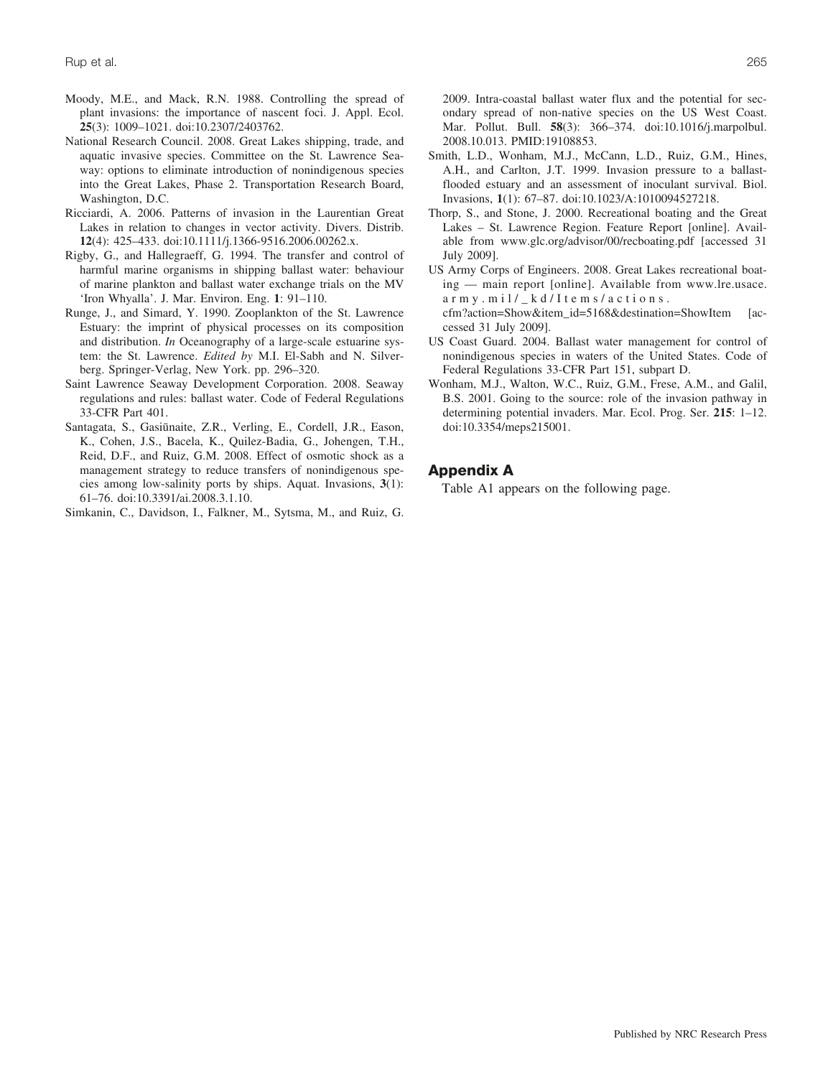- Moody, M.E., and Mack, R.N. 1988. Controlling the spread of plant invasions: the importance of nascent foci. J. Appl. Ecol. **25**(3): 1009–1021. doi:10.2307/2403762.
- National Research Council. 2008. Great Lakes shipping, trade, and aquatic invasive species. Committee on the St. Lawrence Seaway: options to eliminate introduction of nonindigenous species into the Great Lakes, Phase 2. Transportation Research Board, Washington, D.C.
- Ricciardi, A. 2006. Patterns of invasion in the Laurentian Great Lakes in relation to changes in vector activity. Divers. Distrib. **12**(4): 425–433. doi:10.1111/j.1366-9516.2006.00262.x.
- Rigby, G., and Hallegraeff, G. 1994. The transfer and control of harmful marine organisms in shipping ballast water: behaviour of marine plankton and ballast water exchange trials on the MV 'Iron Whyalla'. J. Mar. Environ. Eng. **1**: 91–110.
- Runge, J., and Simard, Y. 1990. Zooplankton of the St. Lawrence Estuary: the imprint of physical processes on its composition and distribution. *In* Oceanography of a large-scale estuarine system: the St. Lawrence. *Edited by* M.I. El-Sabh and N. Silverberg. Springer-Verlag, New York. pp. 296–320.
- Saint Lawrence Seaway Development Corporation. 2008. Seaway regulations and rules: ballast water. Code of Federal Regulations 33-CFR Part 401.
- Santagata, S., Gasiūnaite, Z.R., Verling, E., Cordell, J.R., Eason, K., Cohen, J.S., Bacela, K., Quilez-Badia, G., Johengen, T.H., Reid, D.F., and Ruiz, G.M. 2008. Effect of osmotic shock as a management strategy to reduce transfers of nonindigenous species among low-salinity ports by ships. Aquat. Invasions, **3**(1): 61–76. doi:10.3391/ai.2008.3.1.10.

Simkanin, C., Davidson, I., Falkner, M., Sytsma, M., and Ruiz, G.

2009. Intra-coastal ballast water flux and the potential for secondary spread of non-native species on the US West Coast. Mar. Pollut. Bull. **58**(3): 366–374. doi:10.1016/j.marpolbul. 2008.10.013. PMID:19108853.

- Smith, L.D., Wonham, M.J., McCann, L.D., Ruiz, G.M., Hines, A.H., and Carlton, J.T. 1999. Invasion pressure to a ballastflooded estuary and an assessment of inoculant survival. Biol. Invasions, **1**(1): 67–87. doi:10.1023/A:1010094527218.
- Thorp, S., and Stone, J. 2000. Recreational boating and the Great Lakes – St. Lawrence Region. Feature Report [online]. Available from www.glc.org/advisor/00/recboating.pdf [accessed 31 July 2009].
- US Army Corps of Engineers. 2008. Great Lakes recreational boating — main report [online]. Available from www.lre.usace. army.mil/\_kd/Items/actions. cfm?action=Show&item\_id=5168&destination=ShowItem [accessed 31 July 2009].
- US Coast Guard. 2004. Ballast water management for control of nonindigenous species in waters of the United States. Code of Federal Regulations 33-CFR Part 151, subpart D.
- Wonham, M.J., Walton, W.C., Ruiz, G.M., Frese, A.M., and Galil, B.S. 2001. Going to the source: role of the invasion pathway in determining potential invaders. Mar. Ecol. Prog. Ser. **215**: 1–12. doi:10.3354/meps215001.

# **Appendix A**

Table A1 appears on the following page.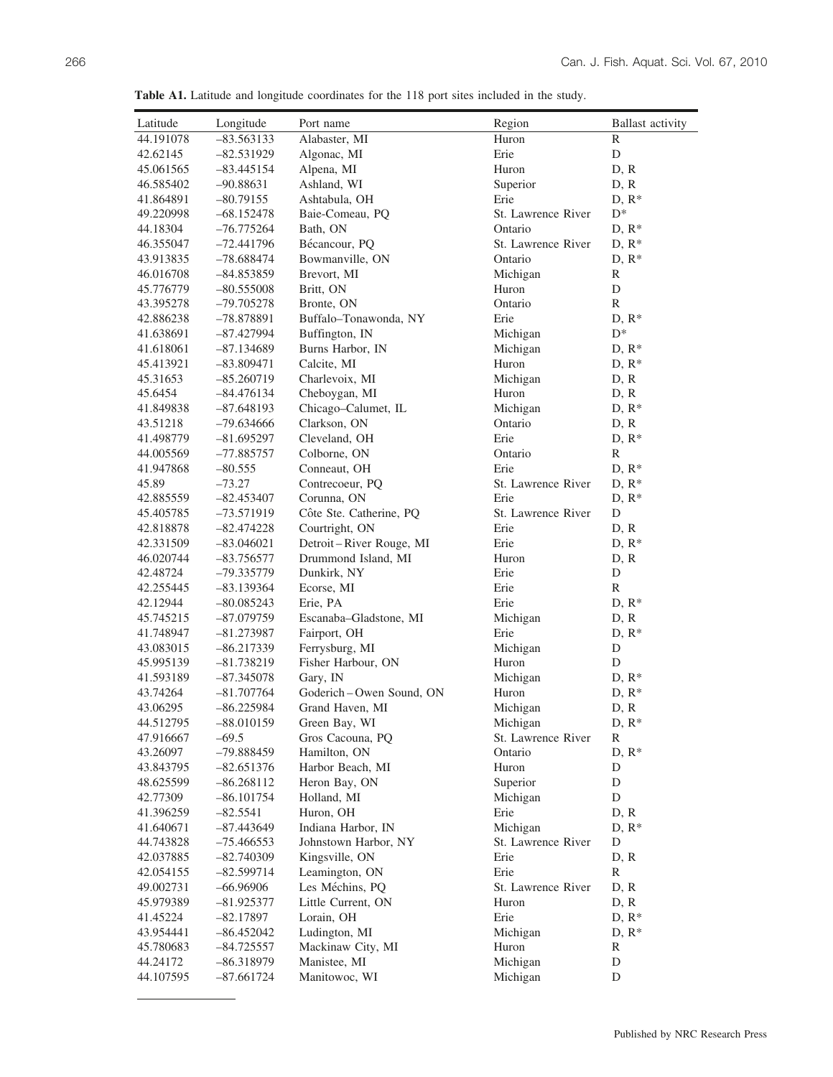| Latitude           | Longitude             | Port name               | Region                     | <b>Ballast</b> activity |
|--------------------|-----------------------|-------------------------|----------------------------|-------------------------|
| 44.191078          | $-83.563133$          | Alabaster, MI           | Huron                      | R                       |
| 42.62145           | $-82.531929$          | Algonac, MI             | Erie                       | D                       |
| 45.061565          | $-83.445154$          | Alpena, MI              | Huron                      | D, R                    |
| 46.585402          | $-90.88631$           | Ashland, WI             | Superior                   | D, R                    |
| 41.864891          | $-80.79155$           | Ashtabula, OH           | Erie                       | $D, R^*$                |
| 49.220998          | $-68.152478$          | Baie-Comeau, PQ         | St. Lawrence River         | $D^*$                   |
| 44.18304           | $-76.775264$          | Bath, ON                | Ontario                    | $D, R^*$                |
| 46.355047          | $-72.441796$          | Bécancour, PQ           | St. Lawrence River         | $D, R^*$                |
| 43.913835          | $-78.688474$          | Bowmanville, ON         | Ontario                    | $D, R^*$                |
| 46.016708          | -84.853859            | Brevort, MI             | Michigan                   | R                       |
| 45.776779          | $-80.555008$          | Britt, ON               | Huron                      | D                       |
| 43.395278          | $-79.705278$          | Bronte, ON              | Ontario                    | R                       |
| 42.886238          | -78.878891            | Buffalo-Tonawonda, NY   | Erie                       | $D, R^*$                |
| 41.638691          | $-87.427994$          | Buffington, IN          | Michigan                   | $D^*$                   |
| 41.618061          | $-87.134689$          | Burns Harbor, IN        | Michigan                   | $D, R^*$                |
| 45.413921          | -83.809471            | Calcite, MI             | Huron                      | $D, R^*$                |
| 45.31653           | $-85.260719$          | Charlevoix, MI          | Michigan                   | D, R                    |
| 45.6454            | $-84.476134$          | Cheboygan, MI           | Huron                      | D, R                    |
|                    | $-87.648193$          | Chicago-Calumet, IL     | Michigan                   |                         |
| 41.849838          |                       |                         | Ontario                    | $D, R^*$                |
| 43.51218           | $-79.634666$          | Clarkson, ON            |                            | D, R                    |
| 41.498779          | $-81.695297$          | Cleveland, OH           | Erie                       | $D, R^*$                |
| 44.005569          | $-77.885757$          | Colborne, ON            | Ontario                    | R                       |
| 41.947868<br>45.89 | $-80.555$<br>$-73.27$ | Conneaut, OH            | Erie<br>St. Lawrence River | $D, R^*$<br>$D, R^*$    |
|                    |                       | Contrecoeur, PQ         | Erie                       |                         |
| 42.885559          | -82.453407            | Corunna, ON             |                            | $D, R^*$                |
| 45.405785          | $-73.571919$          | Côte Ste. Catherine, PQ | St. Lawrence River<br>Erie | D                       |
| 42.818878          | $-82.474228$          | Courtright, ON          |                            | D, R                    |
| 42.331509          | $-83.046021$          | Detroit-River Rouge, MI | Erie                       | $D, R^*$                |
| 46.020744          | $-83.756577$          | Drummond Island, MI     | Huron                      | D, R                    |
| 42.48724           | $-79.335779$          | Dunkirk, NY             | Erie                       | D                       |
| 42.255445          | $-83.139364$          | Ecorse, MI              | Erie                       | $\mathbb{R}$            |
| 42.12944           | $-80.085243$          | Erie, PA                | Erie                       | $D, R^*$                |
| 45.745215          | $-87.079759$          | Escanaba-Gladstone, MI  | Michigan                   | D, R                    |
| 41.748947          | $-81.273987$          | Fairport, OH            | Erie                       | $D, R^*$                |
| 43.083015          | $-86.217339$          | Ferrysburg, MI          | Michigan                   | D                       |
| 45.995139          | $-81.738219$          | Fisher Harbour, ON      | Huron                      | D                       |
| 41.593189          | $-87.345078$          | Gary, IN                | Michigan                   | $D, R^*$                |
| 43.74264           | $-81.707764$          | Goderich-Owen Sound, ON | Huron                      | $D, R^*$                |
| 43.06295           | $-86.225984$          | Grand Haven, MI         | Michigan                   | D, R                    |
| 44.512795          | -88.010159            | Green Bay, WI           | Michigan                   | $D, R^*$                |
| 47.916667          | $-69.5$               | Gros Cacouna, PQ        | St. Lawrence River         | R                       |
| 43.26097           | -79.888459            | Hamilton, ON            | Ontario                    | $D, R^*$                |
| 43.843795          | $-82.651376$          | Harbor Beach, MI        | Huron                      | D                       |
| 48.625599          | $-86.268112$          | Heron Bay, ON           | Superior                   | D                       |
| 42.77309           | $-86.101754$          | Holland, MI             | Michigan                   | D                       |
| 41.396259          | $-82.5541$            | Huron, OH               | Erie                       | D, R                    |
| 41.640671          | $-87.443649$          | Indiana Harbor, IN      | Michigan                   | $D, R^*$                |
| 44.743828          | $-75.466553$          | Johnstown Harbor, NY    | St. Lawrence River         | D                       |
| 42.037885          | $-82.740309$          | Kingsville, ON          | Erie                       | D, R                    |
| 42.054155          | $-82.599714$          | Leamington, ON          | Erie                       | R                       |
| 49.002731          | $-66.96906$           | Les Méchins, PQ         | St. Lawrence River         | D, R                    |
| 45.979389          | $-81.925377$          | Little Current, ON      | Huron                      | D, R                    |
| 41.45224           | $-82.17897$           | Lorain, OH              | Erie                       | $D, R^*$                |
| 43.954441          | $-86.452042$          | Ludington, MI           | Michigan                   | $D, R^*$                |
| 45.780683          | $-84.725557$          | Mackinaw City, MI       | Huron                      | R                       |
| 44.24172           | $-86.318979$          | Manistee, MI            | Michigan                   | D                       |
| 44.107595          | $-87.661724$          | Manitowoc, WI           | Michigan                   | D                       |

**Table A1.** Latitude and longitude coordinates for the 118 port sites included in the study.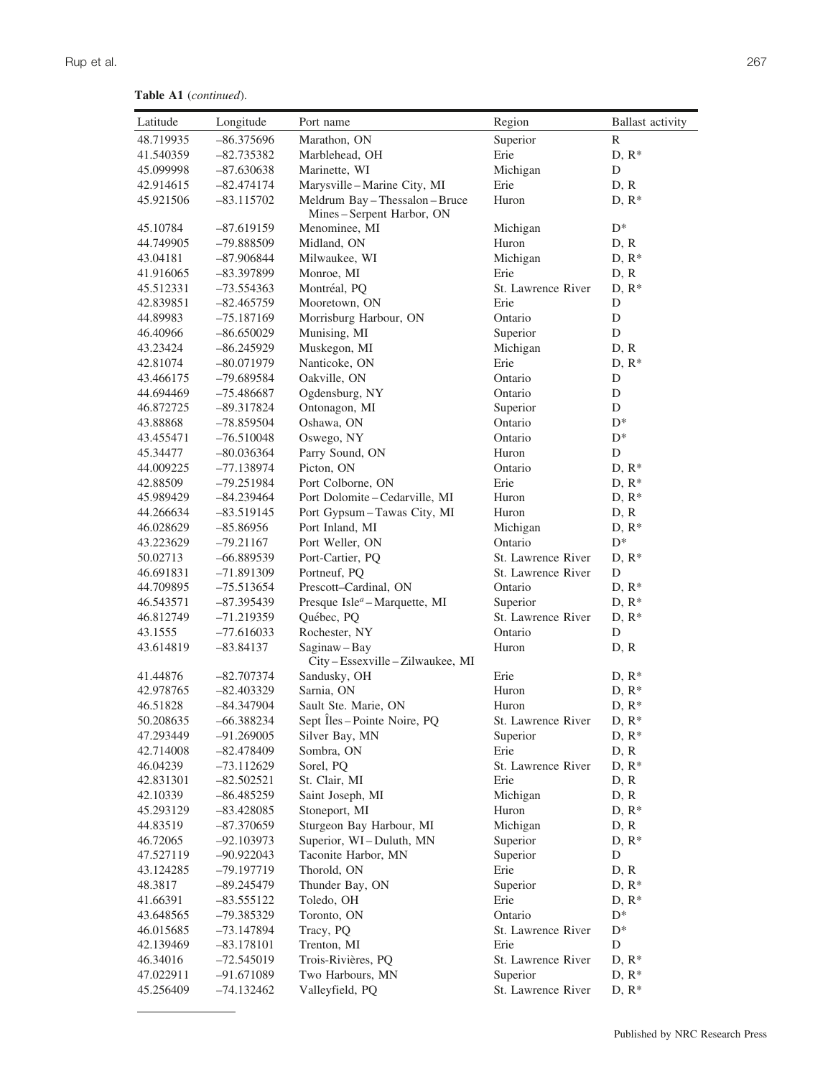**Table A1** (*continued*).

| Latitude              | Longitude                    | Port name                                                   | Region                     | <b>Ballast activity</b> |
|-----------------------|------------------------------|-------------------------------------------------------------|----------------------------|-------------------------|
| 48.719935             | $-86.375696$                 | Marathon, ON                                                | Superior                   | $\mathbb{R}$            |
| 41.540359             | $-82.735382$                 | Marblehead, OH                                              | Erie                       | $D, R^*$                |
| 45.099998             | $-87.630638$                 | Marinette, WI                                               | Michigan                   | D                       |
| 42.914615             | $-82.474174$                 | Marysville-Marine City, MI                                  | Erie                       | D, R                    |
| 45.921506             | $-83.115702$                 | Meldrum Bay - Thessalon - Bruce<br>Mines-Serpent Harbor, ON | Huron                      | $D, R^*$                |
| 45.10784              | $-87.619159$                 | Menominee, MI                                               | Michigan                   | $D^*$                   |
| 44.749905             | $-79.888509$                 | Midland, ON                                                 | Huron                      | D, R                    |
| 43.04181              | -87.906844                   | Milwaukee, WI                                               | Michigan                   | $D, R^*$                |
| 41.916065             | $-83.397899$                 | Monroe, MI                                                  | Erie                       | D, R                    |
| 45.512331             | -73.554363                   | Montréal, PQ                                                | St. Lawrence River         | $D, R^*$                |
| 42.839851             | $-82.465759$                 | Mooretown, ON                                               | Erie                       | D                       |
| 44.89983              | $-75.187169$                 | Morrisburg Harbour, ON                                      | Ontario                    | D                       |
| 46.40966              | $-86.650029$                 | Munising, MI                                                | Superior                   | D                       |
| 43.23424              | $-86.245929$                 | Muskegon, MI                                                | Michigan                   | D, R                    |
| 42.81074              | $-80.071979$                 | Nanticoke, ON                                               | Erie                       | $D, R^*$                |
| 43.466175             | -79.689584                   | Oakville, ON                                                | Ontario                    | D                       |
| 44.694469             | -75.486687                   | Ogdensburg, NY                                              | Ontario                    | D                       |
| 46.872725             | $-89.317824$                 | Ontonagon, MI                                               | Superior                   | D                       |
| 43.88868              | $-78.859504$                 | Oshawa, ON                                                  | Ontario                    | $D^*$                   |
| 43.455471             | $-76.510048$                 | Oswego, NY                                                  | Ontario                    | $D^*$                   |
| 45.34477              | $-80.036364$                 | Parry Sound, ON                                             | Huron                      | D                       |
| 44.009225             | $-77.138974$                 | Picton, ON                                                  | Ontario                    | $D, R^*$                |
| 42.88509              | -79.251984                   | Port Colborne, ON                                           | Erie                       | $D, R^*$                |
| 45.989429             | $-84.239464$                 | Port Dolomite-Cedarville, MI                                | Huron                      | $D, R^*$                |
| 44.266634             | -83.519145                   | Port Gypsum-Tawas City, MI                                  | Huron                      | D, R                    |
| 46.028629             | $-85.86956$                  | Port Inland, MI                                             | Michigan                   | $D, R^*$                |
| 43.223629             | $-79.21167$                  | Port Weller, ON                                             | Ontario                    | $D^*$                   |
| 50.02713              | $-66.889539$                 | Port-Cartier, PQ                                            | St. Lawrence River         | $D, R^*$                |
| 46.691831             | $-71.891309$                 | Portneuf, PQ                                                | St. Lawrence River         | D                       |
| 44.709895             | $-75.513654$                 | Prescott-Cardinal, ON                                       | Ontario                    | $D, R^*$                |
| 46.543571             | $-87.395439$                 | Presque Isle <sup><math>a</math></sup> – Marquette, MI      | Superior                   | $D, R^*$                |
| 46.812749             | $-71.219359$                 | Québec, PQ                                                  | St. Lawrence River         | $D, R^*$                |
| 43.1555               | $-77.616033$                 | Rochester, NY                                               | Ontario                    | D                       |
| 43.614819             | $-83.84137$                  | Saginaw - Bay<br>City-Essexville-Zilwaukee, MI              | Huron                      | D, R                    |
| 41.44876              | $-82.707374$                 | Sandusky, OH                                                | Erie                       | $D, R^*$                |
| 42.978765             | $-82.403329$                 | Sarnia, ON                                                  | Huron                      | $D, R^*$                |
| 46.51828              | $-84.347904$                 | Sault Ste. Marie, ON                                        | Huron                      | $D, R^*$                |
| 50.208635             | $-66.388234$                 | Sept Îles – Pointe Noire, PQ                                | St. Lawrence River         | $D, R^*$                |
| 47.293449             | $-91.269005$                 | Silver Bay, MN                                              | Superior                   | $D, R^*$                |
| 42.714008             | $-82.478409$                 | Sombra, ON                                                  | Erie                       | D, R                    |
| 46.04239              | -73.112629                   | Sorel, PQ                                                   | St. Lawrence River         | $D, R^*$                |
| 42.831301             | $-82.502521$                 | St. Clair, MI                                               | Erie                       | D, R                    |
| 42.10339              | -86.485259                   | Saint Joseph, MI                                            | Michigan                   | D, R                    |
| 45.293129             | $-83.428085$                 | Stoneport, MI                                               | Huron                      | $D, R^*$                |
| 44.83519              | $-87.370659$                 | Sturgeon Bay Harbour, MI                                    | Michigan                   | D, R                    |
| 46.72065              | $-92.103973$                 | Superior, WI-Duluth, MN                                     | Superior                   | $D, R^*$                |
| 47.527119             | $-90.922043$                 | Taconite Harbor, MN                                         | Superior                   | D                       |
| 43.124285             | $-79.197719$                 | Thorold, ON                                                 | Erie                       | D, R                    |
| 48.3817<br>41.66391   | $-89.245479$<br>$-83.555122$ | Thunder Bay, ON<br>Toledo, OH                               | Superior<br>Erie           | $D, R^*$<br>$D, R^*$    |
|                       |                              |                                                             |                            | $D^*$                   |
| 43.648565             | $-79.385329$<br>$-73.147894$ | Toronto, ON                                                 | Ontario                    | $D^*$                   |
| 46.015685             |                              | Tracy, PQ                                                   | St. Lawrence River<br>Erie | D                       |
| 42.139469<br>46.34016 | $-83.178101$<br>$-72.545019$ | Trenton, MI<br>Trois-Rivières, PQ                           | St. Lawrence River         |                         |
| 47.022911             | $-91.671089$                 | Two Harbours, MN                                            | Superior                   | $D, R^*$<br>$D, R^*$    |
| 45.256409             | $-74.132462$                 | Valleyfield, PQ                                             | St. Lawrence River         | $D, R^*$                |
|                       |                              |                                                             |                            |                         |